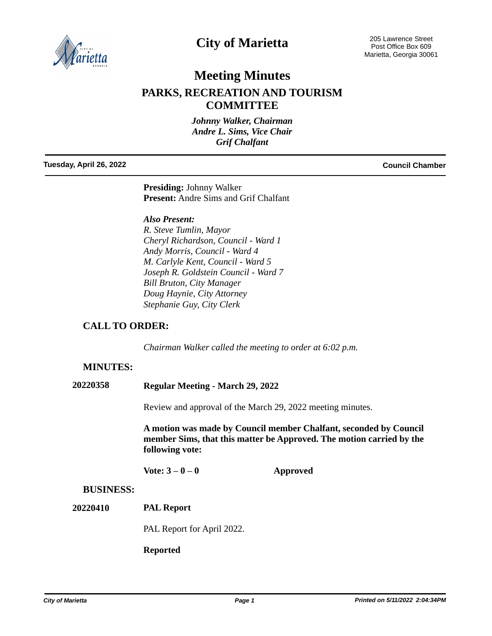

# **City of Marietta**

## **Meeting Minutes**

### **PARKS, RECREATION AND TOURISM COMMITTEE**

*Johnny Walker, Chairman Andre L. Sims, Vice Chair Grif Chalfant*

#### **Tuesday, April 26, 2022 Council Chamber**

**Presiding:** Johnny Walker **Present:** Andre Sims and Grif Chalfant

### *Also Present:*

*R. Steve Tumlin, Mayor Cheryl Richardson, Council - Ward 1 Andy Morris, Council - Ward 4 M. Carlyle Kent, Council - Ward 5 Joseph R. Goldstein Council - Ward 7 Bill Bruton, City Manager Doug Haynie, City Attorney Stephanie Guy, City Clerk*

### **CALL TO ORDER:**

*Chairman Walker called the meeting to order at 6:02 p.m.*

### **MINUTES:**

| 20220358 | <b>Regular Meeting - March 29, 2022</b> |  |
|----------|-----------------------------------------|--|
|          |                                         |  |

Review and approval of the March 29, 2022 meeting minutes.

**A motion was made by Council member Chalfant, seconded by Council member Sims, that this matter be Approved. The motion carried by the following vote:**

**Vote: 3 – 0 – 0 Approved**

#### **BUSINESS:**

**PAL Report 20220410**

PAL Report for April 2022.

**Reported**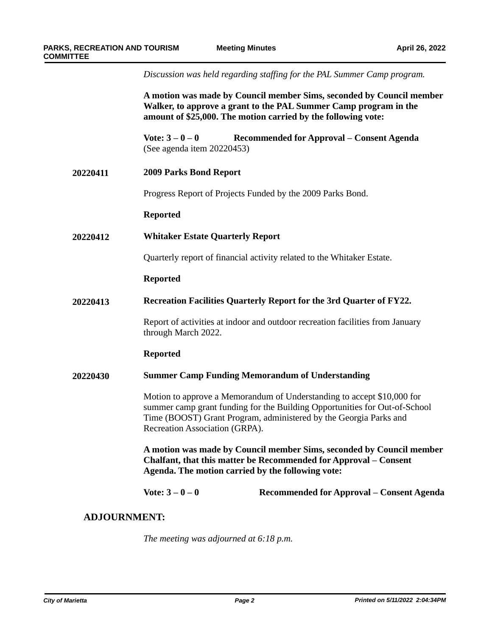*Discussion was held regarding staffing for the PAL Summer Camp program.*

|                     | A motion was made by Council member Sims, seconded by Council member<br>Walker, to approve a grant to the PAL Summer Camp program in the<br>amount of \$25,000. The motion carried by the following vote:                                                   |  |  |
|---------------------|-------------------------------------------------------------------------------------------------------------------------------------------------------------------------------------------------------------------------------------------------------------|--|--|
|                     | Vote: $3 - 0 - 0$<br>Recommended for Approval – Consent Agenda<br>(See agenda item 20220453)                                                                                                                                                                |  |  |
| 20220411            | <b>2009 Parks Bond Report</b>                                                                                                                                                                                                                               |  |  |
|                     | Progress Report of Projects Funded by the 2009 Parks Bond.                                                                                                                                                                                                  |  |  |
|                     | <b>Reported</b>                                                                                                                                                                                                                                             |  |  |
| 20220412            | <b>Whitaker Estate Quarterly Report</b>                                                                                                                                                                                                                     |  |  |
|                     | Quarterly report of financial activity related to the Whitaker Estate.                                                                                                                                                                                      |  |  |
|                     | <b>Reported</b>                                                                                                                                                                                                                                             |  |  |
| 20220413            | Recreation Facilities Quarterly Report for the 3rd Quarter of FY22.                                                                                                                                                                                         |  |  |
|                     | Report of activities at indoor and outdoor recreation facilities from January<br>through March 2022.                                                                                                                                                        |  |  |
|                     | <b>Reported</b>                                                                                                                                                                                                                                             |  |  |
| 20220430            | <b>Summer Camp Funding Memorandum of Understanding</b>                                                                                                                                                                                                      |  |  |
|                     | Motion to approve a Memorandum of Understanding to accept \$10,000 for<br>summer camp grant funding for the Building Opportunities for Out-of-School<br>Time (BOOST) Grant Program, administered by the Georgia Parks and<br>Recreation Association (GRPA). |  |  |
|                     | A motion was made by Council member Sims, seconded by Council member<br>Chalfant, that this matter be Recommended for Approval – Consent<br>Agenda. The motion carried by the following vote:                                                               |  |  |
|                     | Vote: $3 - 0 - 0$<br>Recommended for Approval – Consent Agenda                                                                                                                                                                                              |  |  |
| <b>ADJOURNMENT:</b> |                                                                                                                                                                                                                                                             |  |  |
|                     | The meeting was adjourned at $6:18$ p.m.                                                                                                                                                                                                                    |  |  |